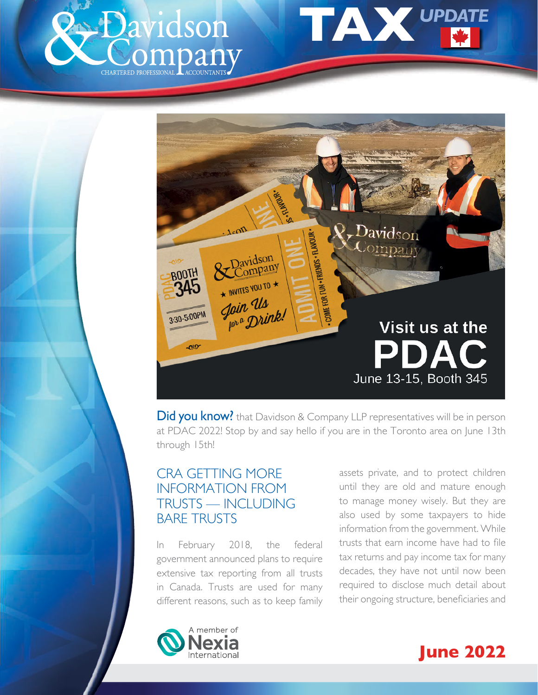<span id="page-0-0"></span>





Did you know? that Davidson & Company LLP representatives will be in person at PDAC 2022! Stop by and say hello if you are in the Toronto area on June 13th through 15th!

# CRA GETTING MORE INFORMATION FROM TRUSTS — INCLUDING BARE TRUSTS

In February 2018, the federal government announced plans to require extensive tax reporting from all trusts in Canada. Trusts are used for many different reasons, such as to keep family assets private, and to protect children until they are old and mature enough to manage money wisely. But they are also used by some taxpayers to hide information from the government. While trusts that earn income have had to file tax returns and pay income tax for many decades, they have not until now been required to disclose much detail about their ongoing structure, beneficiaries and



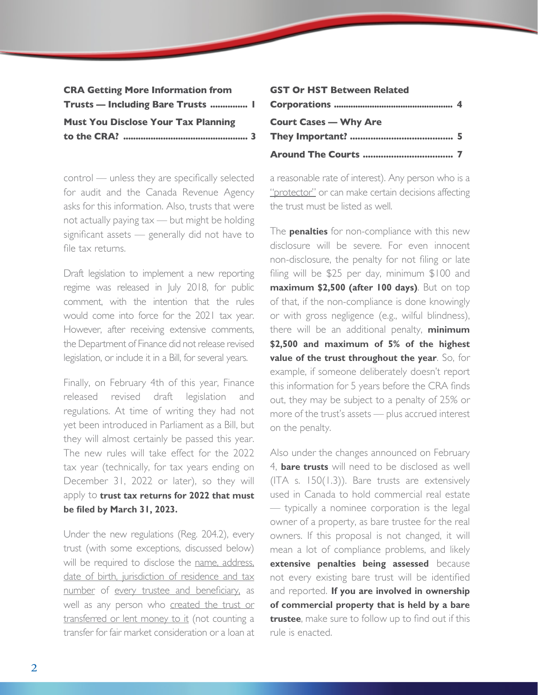| <b>CRA Getting More Information from</b>   |  |
|--------------------------------------------|--|
| <b>Trusts — Including Bare Trusts  I</b>   |  |
| <b>Must You Disclose Your Tax Planning</b> |  |
|                                            |  |

control — unless they are specifically selected for audit and the Canada Revenue Agency asks for this information. Also, trusts that were not actually paying tax — but might be holding significant assets — generally did not have to file tax returns.

Draft legislation to implement a new reporting regime was released in July 2018, for public comment, with the intention that the rules would come into force for the 2021 tax year. However, after receiving extensive comments, the Department of Finance did not release revised legislation, or include it in a Bill, for several years.

Finally, on February 4th of this year, Finance released revised draft legislation and regulations. At time of writing they had not yet been introduced in Parliament as a Bill, but they will almost certainly be passed this year. The new rules will take effect for the 2022 tax year (technically, for tax years ending on December 31, 2022 or later), so they will apply to **trust tax returns for 2022 that must be filed by March 31, 2023.**

Under the new regulations (Reg. 204.2), every trust (with some exceptions, discussed below) will be required to disclose the name, address, date of birth, jurisdiction of residence and tax number of every trustee and beneficiary, as well as any person who created the trust or transferred or lent money to it (not counting a transfer for fair market consideration or a loan at

| <b>GST Or HST Between Related</b> |  |
|-----------------------------------|--|
|                                   |  |
| <b>Court Cases - Why Are</b>      |  |
|                                   |  |
|                                   |  |

a reasonable rate of interest). Any person who is a "protector" or can make certain decisions affecting the trust must be listed as well.

The **penalties** for non-compliance with this new disclosure will be severe. For even innocent non-disclosure, the penalty for not filing or late filing will be \$25 per day, minimum \$100 and **maximum \$2,500 (after 100 days)**. But on top of that, if the non-compliance is done knowingly or with gross negligence (e.g., wilful blindness), there will be an additional penalty, **minimum \$2,500 and maximum of 5% of the highest value of the trust throughout the year**. So, for example, if someone deliberately doesn't report this information for 5 years before the CRA finds out, they may be subject to a penalty of 25% or more of the trust's assets — plus accrued interest on the penalty.

Also under the changes announced on February 4, **bare trusts** will need to be disclosed as well (ITA s. 150(1.3)). Bare trusts are extensively used in Canada to hold commercial real estate — typically a nominee corporation is the legal owner of a property, as bare trustee for the real owners. If this proposal is not changed, it will mean a lot of compliance problems, and likely **extensive penalties being assessed** because not every existing bare trust will be identified and reported. **If you are involved in ownership of commercial property that is held by a bare trustee**, make sure to follow up to find out if this rule is enacted.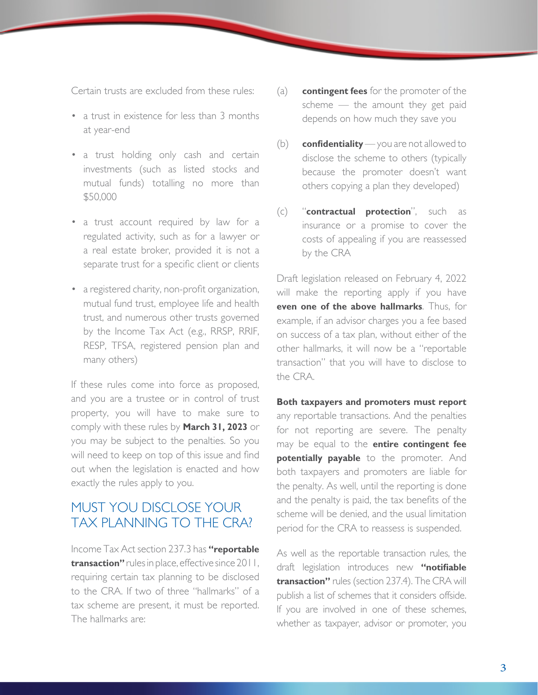<span id="page-2-0"></span>Certain trusts are excluded from these rules:

- a trust in existence for less than 3 months at year-end
- a trust holding only cash and certain investments (such as listed stocks and mutual funds) totalling no more than \$50,000
- a trust account required by law for a regulated activity, such as for a lawyer or a real estate broker, provided it is not a separate trust for a specific client or clients
- a registered charity, non-profit organization, mutual fund trust, employee life and health trust, and numerous other trusts governed by the Income Tax Act (e.g., RRSP, RRIF, RESP, TFSA, registered pension plan and many others)

If these rules come into force as proposed, and you are a trustee or in control of trust property, you will have to make sure to comply with these rules by **March 31, 2023** or you may be subject to the penalties. So you will need to keep on top of this issue and find out when the legislation is enacted and how exactly the rules apply to you.

## MUST YOU DISCLOSE YOUR TAX PLANNING TO THE CRA?

Income Tax Act section 237.3 has **"reportable transaction"** rules in place, effective since 2011, requiring certain tax planning to be disclosed to the CRA. If two of three "hallmarks" of a tax scheme are present, it must be reported. The hallmarks are:

- (a) **contingent fees** for the promoter of the scheme — the amount they get paid depends on how much they save you
- (b) **confidentiality** you are not allowed to disclose the scheme to others (typically because the promoter doesn't want others copying a plan they developed)
- (c) "**contractual protection**", such as insurance or a promise to cover the costs of appealing if you are reassessed by the CRA

Draft legislation released on February 4, 2022 will make the reporting apply if you have **even one of the above hallmarks**. Thus, for example, if an advisor charges you a fee based on success of a tax plan, without either of the other hallmarks, it will now be a "reportable transaction" that you will have to disclose to the CRA.

**Both taxpayers and promoters must report** any reportable transactions. And the penalties for not reporting are severe. The penalty may be equal to the **entire contingent fee potentially payable** to the promoter. And both taxpayers and promoters are liable for the penalty. As well, until the reporting is done and the penalty is paid, the tax benefits of the scheme will be denied, and the usual limitation period for the CRA to reassess is suspended.

As well as the reportable transaction rules, the draft legislation introduces new **"notifiable transaction"** rules (section 237.4). The CRA will publish a list of schemes that it considers offside. If you are involved in one of these schemes, whether as taxpayer, advisor or promoter, you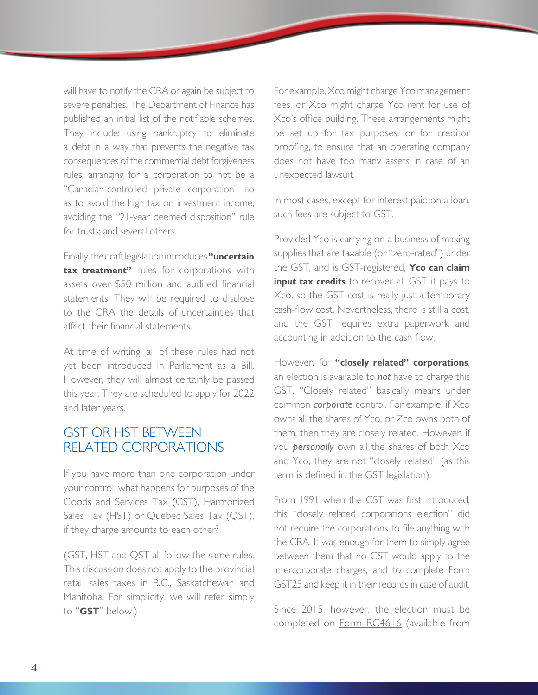<span id="page-3-0"></span>will have to notify the CRA or again be subject to severe penalties. The Department of Finance has published an initial list of the notifiable schemes. They include: using bankruptcy to eliminate a debt in a way that prevents the negative tax consequences of the commercial debt forgiveness rules; arranging for a corporation to not be a "Canadian-controlled private corporation" so as to avoid the high tax on investment income; avoiding the "21-year deemed disposition" rule for trusts; and several others.

Finally, the draft legislation introduces **"uncertain tax treatment"** rules for corporations with assets over \$50 million and audited financial statements. They will be required to disclose to the CRA the details of uncertainties that affect their financial statements.

At time of writing, all of these rules had not yet been introduced in Parliament as a Bill. However, they will almost certainly be passed this year. They are scheduled to apply for 2022 and later years.

## GST OR HST BETWEEN RELATED CORPORATIONS

If you have more than one corporation under your control, what happens for purposes of the Goods and Services Tax (GST), Harmonized Sales Tax (HST) or Quebec Sales Tax (QST), if they charge amounts to each other?

(GST, HST and QST all follow the same rules. This discussion does not apply to the provincial retail sales taxes in B.C., Saskatchewan and Manitoba. For simplicity, we will refer simply to "**GST**" below.)

For example, Xco might charge Yco management fees, or Xco might charge Yco rent for use of Xco's office building. These arrangements might be set up for tax purposes, or for creditor proofing, to ensure that an operating company does not have too many assets in case of an unexpected lawsuit.

In most cases, except for interest paid on a loan, such fees are subject to GST.

Provided Yco is carrying on a business of making supplies that are taxable (or "zero-rated") under the GST, and is GST-registered, **Yco can claim input tax credits** to recover all GST it pays to Xco, so the GST cost is really just a temporary cash-flow cost. Nevertheless, there is still a cost, and the GST requires extra paperwork and accounting in addition to the cash flow.

However, for **"closely related" corporations**, an election is available to *not* have to charge this GST. "Closely related" basically means under common *corporate* control. For example, if Xco owns all the shares of Yco, or Zco owns both of them, then they are closely related. However, if you *personally* own all the shares of both Xco and Yco, they are not "closely related" (as this term is defined in the GST legislation).

From 1991 when the GST was first introduced, this "closely related corporations election" did not require the corporations to file anything with the CRA. It was enough for them to simply agree between them that no GST would apply to the intercorporate charges, and to complete Form GST25 and keep it in their records in case of audit.

Since 2015, however, the election must be completed on Form RC4616 (available from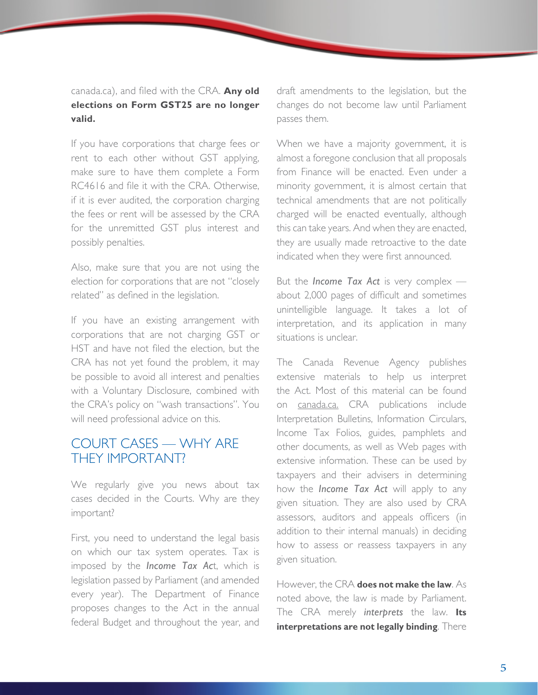#### <span id="page-4-0"></span>canada.ca), and filed with the CRA. **Any old elections on Form GST25 are no longer valid.**

If you have corporations that charge fees or rent to each other without GST applying, make sure to have them complete a Form RC4616 and file it with the CRA. Otherwise, if it is ever audited, the corporation charging the fees or rent will be assessed by the CRA for the unremitted GST plus interest and possibly penalties.

Also, make sure that you are not using the election for corporations that are not "closely related" as defined in the legislation.

If you have an existing arrangement with corporations that are not charging GST or HST and have not filed the election, but the CRA has not yet found the problem, it may be possible to avoid all interest and penalties with a Voluntary Disclosure, combined with the CRA's policy on "wash transactions". You will need professional advice on this.

## COURT CASES — WHY ARE THEY IMPORTANT?

We regularly give you news about tax cases decided in the Courts. Why are they important?

First, you need to understand the legal basis on which our tax system operates. Tax is imposed by the *Income Tax Ac*t, which is legislation passed by Parliament (and amended every year). The Department of Finance proposes changes to the Act in the annual federal Budget and throughout the year, and draft amendments to the legislation, but the changes do not become law until Parliament passes them.

When we have a majority government, it is almost a foregone conclusion that all proposals from Finance will be enacted. Even under a minority government, it is almost certain that technical amendments that are not politically charged will be enacted eventually, although this can take years. And when they are enacted, they are usually made retroactive to the date indicated when they were first announced.

But the *Income Tax Act* is very complex about 2,000 pages of difficult and sometimes unintelligible language. It takes a lot of interpretation, and its application in many situations is unclear.

The Canada Revenue Agency publishes extensive materials to help us interpret the Act. Most of this material can be found on canada.ca. CRA publications include Interpretation Bulletins, Information Circulars, Income Tax Folios, guides, pamphlets and other documents, as well as Web pages with extensive information. These can be used by taxpayers and their advisers in determining how the *Income Tax Act* will apply to any given situation. They are also used by CRA assessors, auditors and appeals officers (in addition to their internal manuals) in deciding how to assess or reassess taxpayers in any given situation.

However, the CRA **does not make the law**. As noted above, the law is made by Parliament. The CRA merely *interprets* the law. **Its interpretations are not legally binding**. There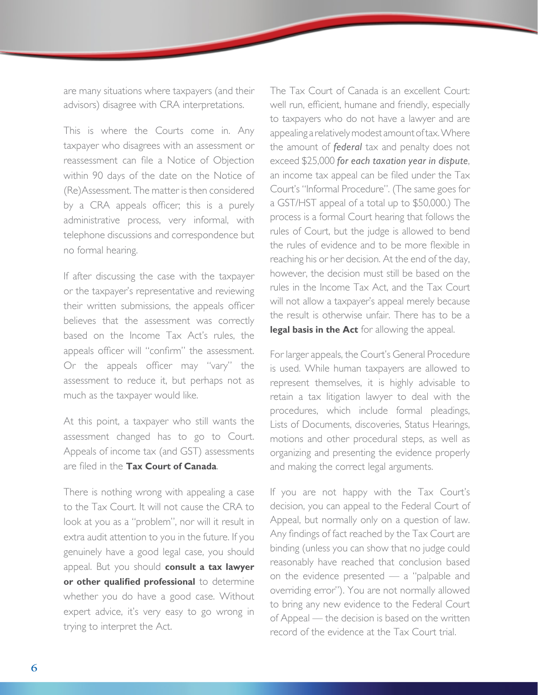are many situations where taxpayers (and their advisors) disagree with CRA interpretations.

This is where the Courts come in. Any taxpayer who disagrees with an assessment or reassessment can file a Notice of Objection within 90 days of the date on the Notice of (Re)Assessment. The matter is then considered by a CRA appeals officer; this is a purely administrative process, very informal, with telephone discussions and correspondence but no formal hearing.

If after discussing the case with the taxpayer or the taxpayer's representative and reviewing their written submissions, the appeals officer believes that the assessment was correctly based on the Income Tax Act's rules, the appeals officer will "confirm" the assessment. Or the appeals officer may "vary" the assessment to reduce it, but perhaps not as much as the taxpayer would like.

At this point, a taxpayer who still wants the assessment changed has to go to Court. Appeals of income tax (and GST) assessments are filed in the **Tax Court of Canada**.

There is nothing wrong with appealing a case to the Tax Court. It will not cause the CRA to look at you as a "problem", nor will it result in extra audit attention to you in the future. If you genuinely have a good legal case, you should appeal. But you should **consult a tax lawyer or other qualified professional** to determine whether you do have a good case. Without expert advice, it's very easy to go wrong in trying to interpret the Act.

The Tax Court of Canada is an excellent Court: well run, efficient, humane and friendly, especially to taxpayers who do not have a lawyer and are appealing a relatively modest amount of tax. Where the amount of *federal* tax and penalty does not exceed \$25,000 *for each taxation year in dispute*, an income tax appeal can be filed under the Tax Court's "Informal Procedure". (The same goes for a GST/HST appeal of a total up to \$50,000.) The process is a formal Court hearing that follows the rules of Court, but the judge is allowed to bend the rules of evidence and to be more flexible in reaching his or her decision. At the end of the day, however, the decision must still be based on the rules in the Income Tax Act, and the Tax Court will not allow a taxpayer's appeal merely because the result is otherwise unfair. There has to be a **legal basis in the Act** for allowing the appeal.

For larger appeals, the Court's General Procedure is used. While human taxpayers are allowed to represent themselves, it is highly advisable to retain a tax litigation lawyer to deal with the procedures, which include formal pleadings, Lists of Documents, discoveries, Status Hearings, motions and other procedural steps, as well as organizing and presenting the evidence properly and making the correct legal arguments.

If you are not happy with the Tax Court's decision, you can appeal to the Federal Court of Appeal, but normally only on a question of law. Any findings of fact reached by the Tax Court are binding (unless you can show that no judge could reasonably have reached that conclusion based on the evidence presented — a "palpable and overriding error"). You are not normally allowed to bring any new evidence to the Federal Court of Appeal — the decision is based on the written record of the evidence at the Tax Court trial.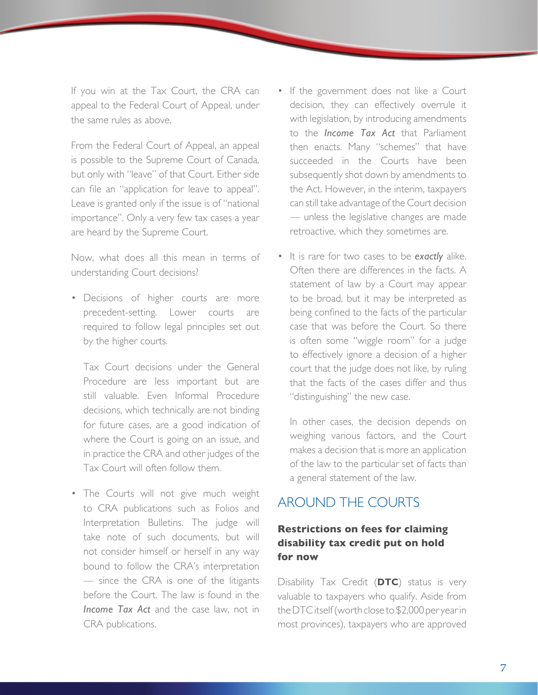<span id="page-6-0"></span>If you win at the Tax Court, the CRA can appeal to the Federal Court of Appeal, under the same rules as above.

From the Federal Court of Appeal, an appeal is possible to the Supreme Court of Canada, but only with "leave" of that Court. Either side can file an "application for leave to appeal". Leave is granted only if the issue is of "national importance". Only a very few tax cases a year are heard by the Supreme Court.

Now, what does all this mean in terms of understanding Court decisions?

• Decisions of higher courts are more precedent-setting. Lower courts are required to follow legal principles set out by the higher courts.

 Tax Court decisions under the General Procedure are less important but are still valuable. Even Informal Procedure decisions, which technically are not binding for future cases, are a good indication of where the Court is going on an issue, and in practice the CRA and other judges of the Tax Court will often follow them.

• The Courts will not give much weight to CRA publications such as Folios and Interpretation Bulletins. The judge will take note of such documents, but will not consider himself or herself in any way bound to follow the CRA's interpretation — since the CRA is one of the litigants before the Court. The law is found in the *Income Tax Act* and the case law, not in CRA publications.

- If the government does not like a Court decision, they can effectively overrule it with legislation, by introducing amendments to the *Income Tax Act* that Parliament then enacts. Many "schemes" that have succeeded in the Courts have been subsequently shot down by amendments to the Act. However, in the interim, taxpayers can still take advantage of the Court decision — unless the legislative changes are made retroactive, which they sometimes are.
- It is rare for two cases to be *exactly* alike. Often there are differences in the facts. A statement of law by a Court may appear to be broad, but it may be interpreted as being confined to the facts of the particular case that was before the Court. So there is often some "wiggle room" for a judge to effectively ignore a decision of a higher court that the judge does not like, by ruling that the facts of the cases differ and thus "distinguishing" the new case.

In other cases, the decision depends on weighing various factors, and the Court makes a decision that is more an application of the law to the particular set of facts than a general statement of the law.

# AROUND THE COURTS

### **Restrictions on fees for claiming disability tax credit put on hold for now**

Disability Tax Credit (**DTC**) status is very valuable to taxpayers who qualify. Aside from the DTC itself (worth close to \$2,000 per year in most provinces), taxpayers who are approved